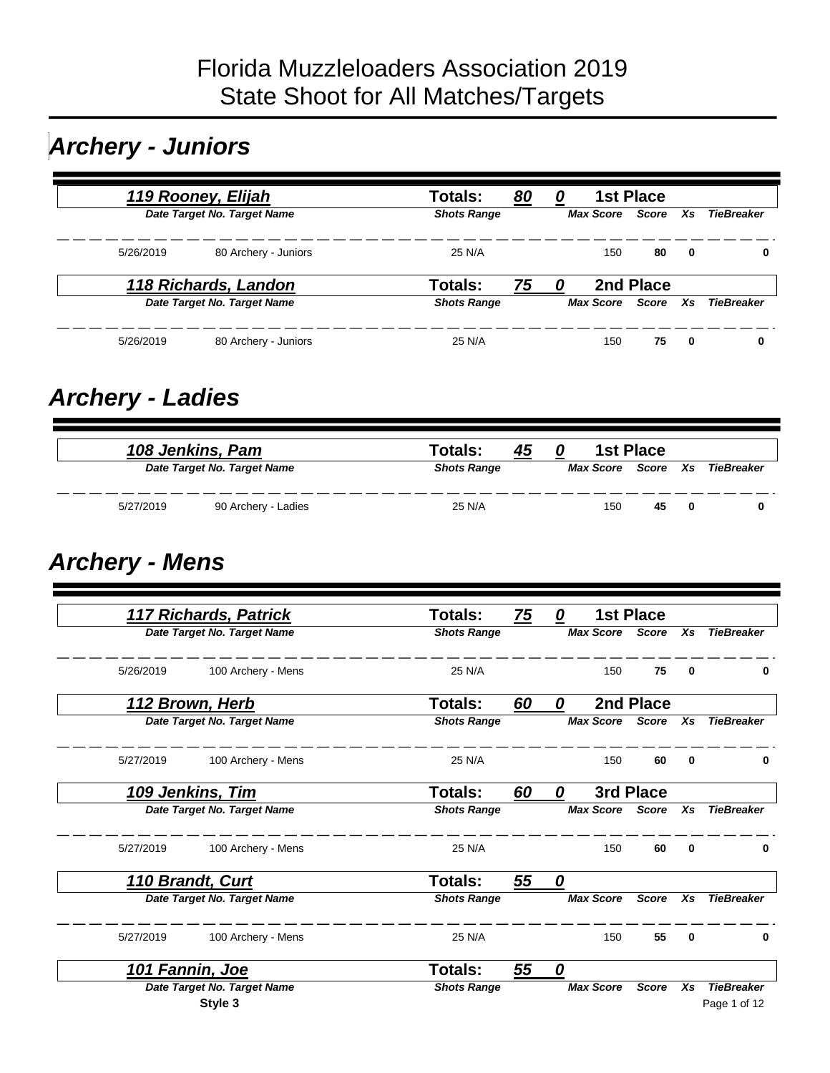# *Archery - Juniors*

|           | 119 Rooney, Elijah          | Totals:<br><u>80</u> | 0 |                  | <b>1st Place</b> |     |                   |
|-----------|-----------------------------|----------------------|---|------------------|------------------|-----|-------------------|
|           | Date Target No. Target Name | <b>Shots Range</b>   |   | <b>Max Score</b> | Score Xs         |     | <b>TieBreaker</b> |
| 5/26/2019 | 80 Archery - Juniors        | 25 N/A               |   | 150              | 80               | - 0 |                   |
|           | 118 Richards, Landon        | Totals:<br>75        | 0 |                  | 2nd Place        |     |                   |
|           | Date Target No. Target Name | <b>Shots Range</b>   |   | <b>Max Score</b> | Score            | Xs. | <b>TieBreaker</b> |
| 5/26/2019 | 80 Archery - Juniors        | 25 N/A               |   | 150              | 75               | - 0 | 0                 |

#### *Archery - Ladies*

| 108 Jenkins, Pam |                             | Totals:<br>45      |           | 1st Place |              |                   |
|------------------|-----------------------------|--------------------|-----------|-----------|--------------|-------------------|
|                  | Date Target No. Target Name | <b>Shots Range</b> | Max Score | Score Xs  |              | <b>TieBreaker</b> |
| 5/27/2019        | 90 Archery - Ladies         | 25 N/A             | 150       | 45        | $\mathbf{0}$ |                   |

#### *Archery - Mens*

| 117 Richards, Patrick           | <b>Totals:</b><br><u>75</u> | 0                | <b>1st Place</b> |          |                   |
|---------------------------------|-----------------------------|------------------|------------------|----------|-------------------|
| Date Target No. Target Name     | <b>Shots Range</b>          | <b>Max Score</b> | Score            | Xs       | <b>TieBreaker</b> |
| 5/26/2019<br>100 Archery - Mens | 25 N/A                      | 150              | 75               | 0        | 0                 |
| 112 Brown, Herb                 | <b>Totals:</b><br>60        | 0                | 2nd Place        |          |                   |
| Date Target No. Target Name     | <b>Shots Range</b>          | <b>Max Score</b> | <b>Score</b>     | Xs       | <b>TieBreaker</b> |
| 5/27/2019<br>100 Archery - Mens | 25 N/A                      | 150              | 60               | 0        | 0                 |
| 109 Jenkins, Tim                | <b>Totals:</b><br>60        | 0                | 3rd Place        |          |                   |
| Date Target No. Target Name     | <b>Shots Range</b>          | <b>Max Score</b> | <b>Score</b>     | Xs       | <b>TieBreaker</b> |
| 5/27/2019<br>100 Archery - Mens | 25 N/A                      | 150              | 60               | $\bf{0}$ | 0                 |
| 110 Brandt, Curt                | <b>Totals:</b><br>55        | 0                |                  |          |                   |
| Date Target No. Target Name     | <b>Shots Range</b>          | <b>Max Score</b> | <b>Score</b>     | Xs       | <b>TieBreaker</b> |
| 5/27/2019<br>100 Archery - Mens | 25 N/A                      | 150              | 55               | 0        | 0                 |
| 101 Fannin, Joe                 | <b>Totals:</b><br>55        | 0                |                  |          |                   |
| Date Target No. Target Name     | <b>Shots Range</b>          | <b>Max Score</b> | <b>Score</b>     | Xs       | <b>TieBreaker</b> |
| Style 3                         |                             |                  |                  |          | Page 1 of 12      |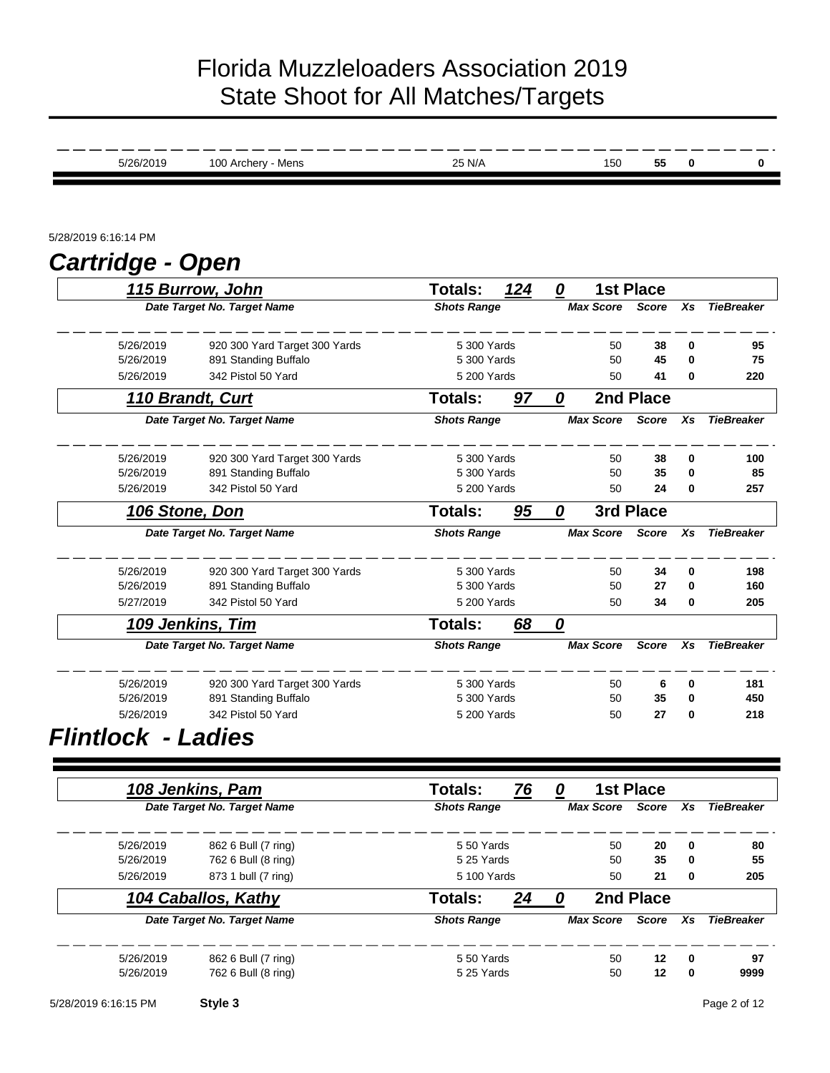| 5/26/2019               | 100 Archery - Mens                              | 25 N/A                        |     |              | 150              | 55                               | $\bf{0}$ | n                 |
|-------------------------|-------------------------------------------------|-------------------------------|-----|--------------|------------------|----------------------------------|----------|-------------------|
|                         |                                                 |                               |     |              |                  |                                  |          |                   |
| 5/28/2019 6:16:14 PM    |                                                 |                               |     |              |                  |                                  |          |                   |
| <b>Cartridge - Open</b> |                                                 |                               |     |              |                  |                                  |          |                   |
|                         | 115 Burrow, John<br>Date Target No. Target Name | Totals:<br><b>Shots Range</b> | 124 | $\mathbf{0}$ | <b>Max Score</b> | <b>1st Place</b><br><b>Score</b> | Xs       | <b>TieBreaker</b> |
| 5/26/2019               | 920 300 Yard Target 300 Yards                   | 5 300 Yards                   |     |              | 50               | 38                               | 0        | 95                |
| 5/26/2019               | 891 Standing Buffalo                            | 5 300 Yards                   |     |              | 50               | 45                               | $\bf{0}$ | 75                |
| 5/26/2019               | 342 Pistol 50 Yard                              | 5 200 Yards                   |     |              | 50               | 41                               | 0        | 220               |
|                         | 110 Brandt, Curt                                | <b>Totals:</b>                | 97  | 0            |                  | 2nd Place                        |          |                   |
|                         | Date Target No. Target Name                     | <b>Shots Range</b>            |     |              | <b>Max Score</b> | <b>Score</b>                     | Xs       | <b>TieBreaker</b> |
| 5/26/2019               | 920 300 Yard Target 300 Yards                   | 5 300 Yards                   |     |              | 50               | 38                               | 0        | 100               |
| 5/26/2019               | 891 Standing Buffalo                            | 5 300 Yards                   |     |              | 50               | 35                               | 0        | 85                |
| 5/26/2019               | 342 Pistol 50 Yard                              | 5 200 Yards                   |     |              | 50               | 24                               | 0        | 257               |
| 106 Stone, Don          |                                                 | Totals:                       | 95  | 0            |                  | 3rd Place                        |          |                   |
|                         | Date Target No. Target Name                     | <b>Shots Range</b>            |     |              | <b>Max Score</b> | <b>Score</b>                     | Xs       | <b>TieBreaker</b> |
| 5/26/2019               | 920 300 Yard Target 300 Yards                   | 5 300 Yards                   |     |              | 50               | 34                               | $\bf{0}$ | 198               |
| 5/26/2019               | 891 Standing Buffalo                            | 5 300 Yards                   |     |              | 50               | 27                               | $\bf{0}$ | 160               |
| 5/27/2019               | 342 Pistol 50 Yard                              | 5 200 Yards                   |     |              | 50               | 34                               | 0        | 205               |
|                         | 109 Jenkins, Tim                                | <b>Totals:</b>                | 68  | 0            |                  |                                  |          |                   |
|                         | Date Target No. Target Name                     | <b>Shots Range</b>            |     |              | <b>Max Score</b> | <b>Score</b>                     | Xs       | <b>TieBreaker</b> |
| 5/26/2019               | 920 300 Yard Target 300 Yards                   | 5 300 Yards                   |     |              | 50               | 6                                | 0        | 181               |
| 5/26/2019               | 891 Standing Buffalo                            | 5 300 Yards                   |     |              | 50               | 35                               | 0        | 450               |
| 5/26/2019               | 342 Pistol 50 Yard                              | 5 200 Yards                   |     |              | 50               | 27                               | $\bf{0}$ | 218               |

#### *Flintlock - Ladies*

|                   |             |              | 1st Place        | 0 | 76 | <b>Totals:</b>     | 108 Jenkins, Pam            |           |
|-------------------|-------------|--------------|------------------|---|----|--------------------|-----------------------------|-----------|
| <b>TieBreaker</b> | Xs          | <b>Score</b> | <b>Max Score</b> |   |    | <b>Shots Range</b> | Date Target No. Target Name |           |
| 80                | $\mathbf 0$ | 20           | 50               |   |    | 5 50 Yards         | 862 6 Bull (7 ring)         | 5/26/2019 |
| 55                | $\mathbf 0$ | 35           | 50               |   |    | 5 25 Yards         | 762 6 Bull (8 ring)         | 5/26/2019 |
| 205               | 0           | 21           | 50               |   |    | 5 100 Yards        | 873 1 bull (7 ring)         | 5/26/2019 |
|                   |             | 2nd Place    |                  |   | 24 | Totals:            | 104 Caballos, Kathy         |           |
| <b>TieBreaker</b> | Xs          | Score        | <b>Max Score</b> |   |    | <b>Shots Range</b> | Date Target No. Target Name |           |
| 97                | 0           | 12           | 50               |   |    | 550 Yards          | 862 6 Bull (7 ring)         | 5/26/2019 |
| 9999              | 0           | 12           | 50               |   |    | 5 25 Yards         | 762 6 Bull (8 ring)         | 5/26/2019 |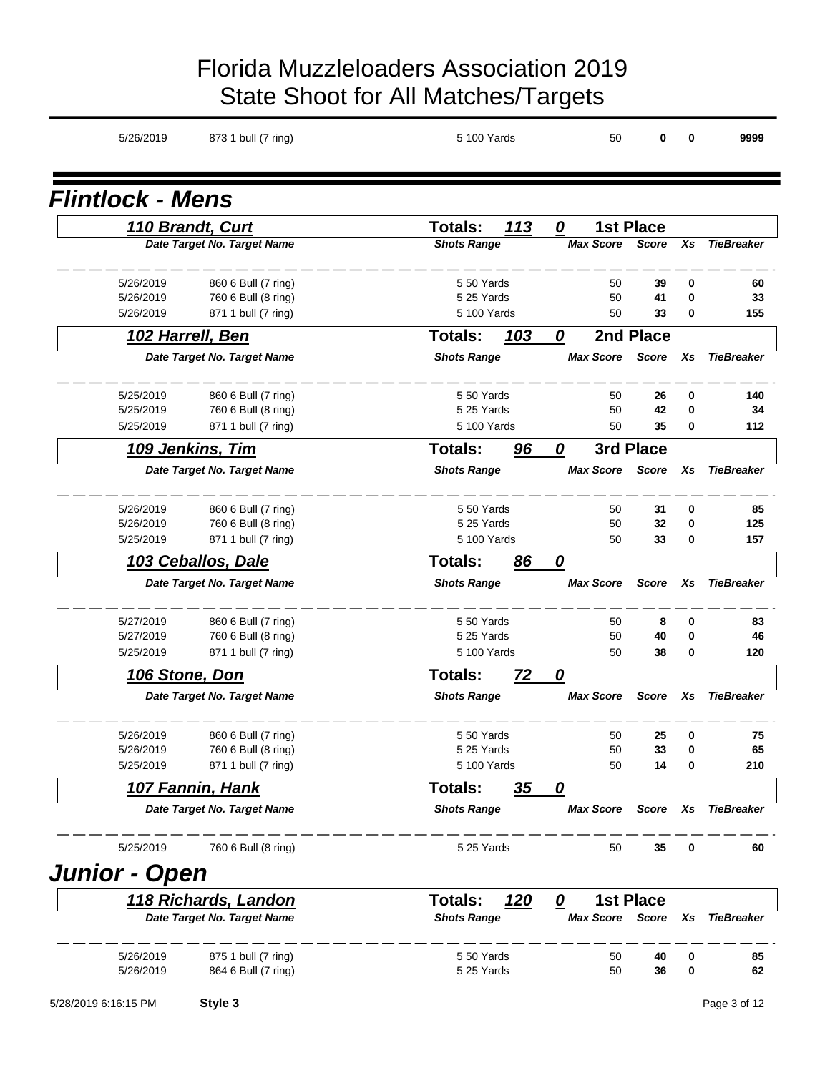| 5/26/2019               | 873 1 bull (7 ring)                        | 5 100 Yards               |             |                             | 50               | 0                | 0                    | 9999              |
|-------------------------|--------------------------------------------|---------------------------|-------------|-----------------------------|------------------|------------------|----------------------|-------------------|
| <b>Flintlock - Mens</b> |                                            |                           |             |                             |                  |                  |                      |                   |
|                         | <b>110 Brandt, Curt</b>                    | <b>Totals:</b>            | 113         | 0                           |                  | <b>1st Place</b> |                      |                   |
|                         | Date Target No. Target Name                | <b>Shots Range</b>        |             |                             | <b>Max Score</b> | <b>Score</b>     | Xs                   | <b>TieBreaker</b> |
| 5/26/2019<br>5/26/2019  | 860 6 Bull (7 ring)<br>760 6 Bull (8 ring) | 5 50 Yards<br>5 25 Yards  |             |                             | 50<br>50         | 39<br>41         | 0<br>0               | 60<br>33          |
| 5/26/2019               | 871 1 bull (7 ring)                        | 5 100 Yards               |             |                             | 50               | 33               | $\bf{0}$             | 155               |
|                         | 102 Harrell, Ben                           | <b>Totals:</b>            | 103         | 0                           |                  | 2nd Place        |                      |                   |
|                         | Date Target No. Target Name                | <b>Shots Range</b>        |             |                             | <b>Max Score</b> | <b>Score</b>     | Xs                   | <b>TieBreaker</b> |
| 5/25/2019               | 860 6 Bull (7 ring)                        | 5 50 Yards                |             |                             | 50               | 26               | 0                    | 140               |
| 5/25/2019               | 760 6 Bull (8 ring)                        | 5 25 Yards                |             |                             | 50               | 42               | 0                    | 34                |
| 5/25/2019               | 871 1 bull (7 ring)                        | 5 100 Yards               |             |                             | 50               | 35               | $\bf{0}$             | 112               |
|                         | 109 Jenkins, Tim                           | <b>Totals:</b>            | 96          | 0                           |                  | 3rd Place        |                      |                   |
|                         | Date Target No. Target Name                | <b>Shots Range</b>        |             |                             | <b>Max Score</b> | <b>Score</b>     | Xs                   | <b>TieBreaker</b> |
| 5/26/2019               | 860 6 Bull (7 ring)                        | 5 50 Yards                |             |                             | 50               | 31               | 0                    | 85                |
| 5/26/2019<br>5/25/2019  | 760 6 Bull (8 ring)<br>871 1 bull (7 ring) | 5 25 Yards<br>5 100 Yards |             |                             | 50<br>50         | 32<br>33         | $\bf{0}$<br>$\bf{0}$ | 125<br>157        |
|                         | 103 Ceballos, Dale                         | <b>Totals:</b>            |             |                             |                  |                  |                      |                   |
|                         | Date Target No. Target Name                | <b>Shots Range</b>        | 86          | 0                           | <b>Max Score</b> | <b>Score</b>     | Xs                   | <b>TieBreaker</b> |
|                         |                                            |                           |             |                             |                  |                  |                      |                   |
| 5/27/2019<br>5/27/2019  | 860 6 Bull (7 ring)                        | 550 Yards<br>5 25 Yards   |             |                             | 50<br>50         | 8                | 0<br>$\bf{0}$        | 83                |
| 5/25/2019               | 760 6 Bull (8 ring)<br>871 1 bull (7 ring) | 5 100 Yards               |             |                             | 50               | 40<br>38         | 0                    | 46<br>120         |
| 106 Stone, Don          |                                            | Totals:                   | 72          | 0                           |                  |                  |                      |                   |
|                         | Date Target No. Target Name                | <b>Shots Range</b>        |             |                             | <b>Max Score</b> | <b>Score</b>     | Xs                   | <b>TieBreaker</b> |
| 5/26/2019               | 860 6 Bull (7 ring)                        | 550 Yards                 |             |                             | 50               | 25               | 0                    | 75                |
| 5/26/2019               | 760 6 Bull (8 ring)                        | 5 25 Yards                |             |                             | 50               | 33               | 0                    | 65                |
| 5/25/2019               | 871 1 bull (7 ring)                        | 5 100 Yards               |             |                             | 50               | 14               | 0                    | 210               |
|                         | <u>107 Fannin, Hank</u>                    | Totals:                   | <u>35</u>   | 0                           |                  |                  |                      |                   |
|                         | Date Target No. Target Name                | <b>Shots Range</b>        |             |                             | <b>Max Score</b> | <b>Score</b>     | Xs                   | <b>TieBreaker</b> |
| 5/25/2019               | 760 6 Bull (8 ring)                        | 5 25 Yards                |             |                             | 50               | 35               | 0                    | 60                |
| <b>Junior - Open</b>    |                                            |                           |             |                             |                  |                  |                      |                   |
|                         | 118 Richards, Landon                       | Totals:                   | <u> 120</u> | $\overline{\boldsymbol{0}}$ |                  | <b>1st Place</b> |                      |                   |
|                         | Date Target No. Target Name                | <b>Shots Range</b>        |             |                             | <b>Max Score</b> | Score            | Xs                   | <b>TieBreaker</b> |
| 5/26/2019               | 875 1 bull (7 ring)                        | 550 Yards                 |             |                             | 50               | 40               | 0                    | 85                |
| 5/26/2019               | 864 6 Bull (7 ring)                        | 5 25 Yards                |             |                             | 50               | 36               | 0                    | 62                |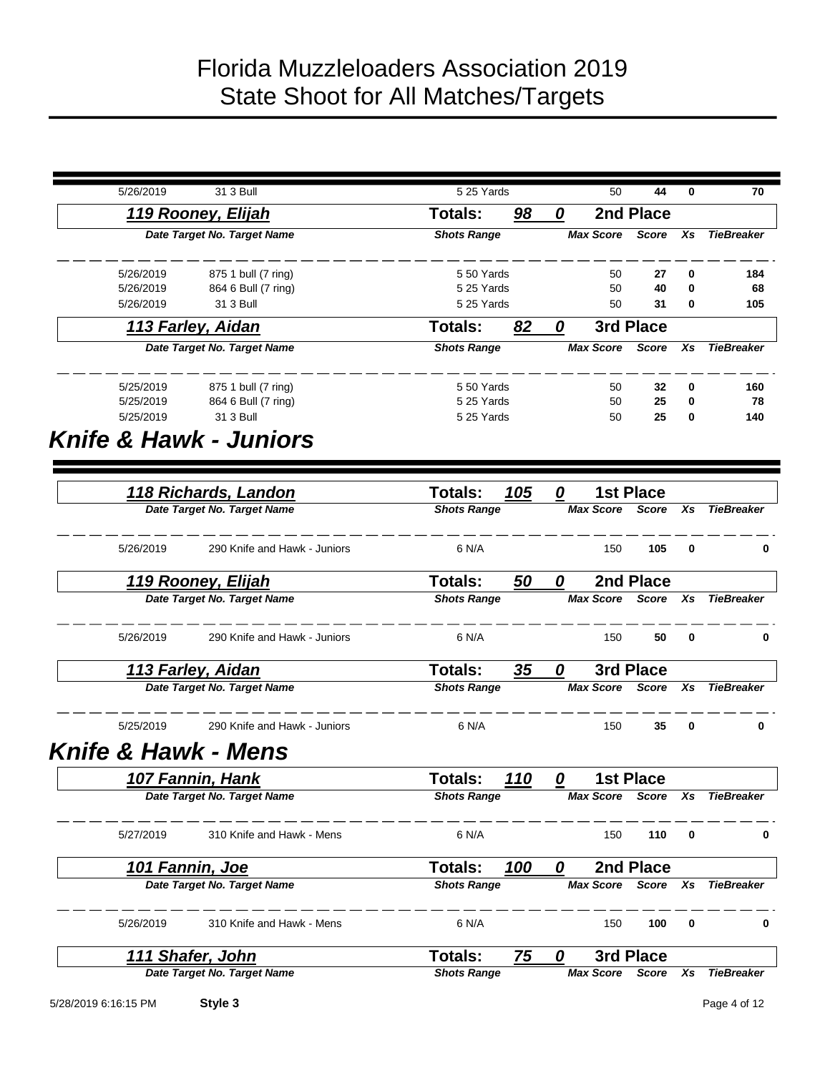| 5/26/2019                                      | 31 3 Bull                    | 5 25 Yards         |             |   | 50               | 44               | 0               | 70                |
|------------------------------------------------|------------------------------|--------------------|-------------|---|------------------|------------------|-----------------|-------------------|
|                                                | 119 Rooney, Elijah           | <b>Totals:</b>     | 98          | 0 |                  | 2nd Place        |                 |                   |
|                                                | Date Target No. Target Name  | <b>Shots Range</b> |             |   | <b>Max Score</b> | <b>Score</b>     | Xs              | <b>TieBreaker</b> |
| 5/26/2019                                      | 875 1 bull (7 ring)          | 550 Yards          |             |   | 50               | 27               | 0               | 184               |
| 5/26/2019                                      | 864 6 Bull (7 ring)          | 5 25 Yards         |             |   | 50               | 40               | 0               | 68                |
| 5/26/2019                                      | 31 3 Bull                    | 5 25 Yards         |             |   | 50               | 31               | 0               | 105               |
|                                                | 113 Farley, Aidan            | <b>Totals:</b>     | 82          | 0 |                  | 3rd Place        |                 |                   |
|                                                | Date Target No. Target Name  | <b>Shots Range</b> |             |   | <b>Max Score</b> | <b>Score</b>     | Xs              | <b>TieBreaker</b> |
| 5/25/2019                                      | 875 1 bull (7 ring)          | 550 Yards          |             |   | 50               | 32               | 0               | 160               |
| 5/25/2019                                      | 864 6 Bull (7 ring)          | 5 25 Yards         |             |   | 50               | 25               | 0               | 78                |
| 5/25/2019<br><b>Knife &amp; Hawk - Juniors</b> | 31 3 Bull                    | 5 25 Yards         |             |   | 50               | 25               | 0               | 140               |
|                                                | <u>118 Richards, Landon</u>  | <b>Totals:</b>     | 105         | 0 |                  | <b>1st Place</b> |                 |                   |
|                                                | Date Target No. Target Name  | <b>Shots Range</b> |             |   | <b>Max Score</b> | <b>Score</b>     | $\overline{x}s$ | <b>TieBreaker</b> |
| 5/26/2019                                      | 290 Knife and Hawk - Juniors | 6 N/A              |             |   | 150              | 105              | 0               | 0                 |
|                                                | 119 Rooney, Elijah           | Totals:            | 50          | 0 |                  | 2nd Place        |                 |                   |
|                                                | Date Target No. Target Name  | <b>Shots Range</b> |             |   | <b>Max Score</b> | <b>Score</b>     | Xs              | <b>TieBreaker</b> |
| 5/26/2019                                      | 290 Knife and Hawk - Juniors | 6 N/A              |             |   | 150              | 50               | 0               | 0                 |
|                                                | 113 Farley, Aidan            | <b>Totals:</b>     | 35          | 0 |                  | 3rd Place        |                 |                   |
|                                                | Date Target No. Target Name  | <b>Shots Range</b> |             |   | <b>Max Score</b> | <b>Score</b>     | Xs              | <b>TieBreaker</b> |
| 5/25/2019                                      | 290 Knife and Hawk - Juniors | 6 N/A              |             |   | 150              | 35               | $\bf{0}$        | 0                 |
| <b>Knife &amp; Hawk - Mens</b>                 |                              |                    |             |   |                  |                  |                 |                   |
|                                                | <u>107 Fannin, Hank</u>      | <b>Totals:</b>     | <u> 110</u> | n |                  | <b>1st Place</b> |                 |                   |
|                                                | Date Target No. Target Name  | <b>Shots Range</b> |             |   | <b>Max Score</b> | <b>Score</b>     | Xs              | <b>TieBreaker</b> |
| 5/27/2019                                      | 310 Knife and Hawk - Mens    | 6 N/A              |             |   | 150              | 110              | 0               | 0                 |
|                                                | 101 Fannin, Joe              | Totals:            | 100         | 0 |                  | 2nd Place        |                 |                   |
|                                                | Date Target No. Target Name  | <b>Shots Range</b> |             |   | <b>Max Score</b> | <b>Score</b>     | Xs              | <b>TieBreaker</b> |
| 5/26/2019                                      | 310 Knife and Hawk - Mens    | 6 N/A              |             |   | 150              | 100              | 0               | 0                 |
|                                                | 111 Shafer, John             | <b>Totals:</b>     | 75          | 0 |                  | 3rd Place        |                 |                   |
|                                                | Date Target No. Target Name  | <b>Shots Range</b> |             |   | <b>Max Score</b> | Score            | Xs              | <b>TieBreaker</b> |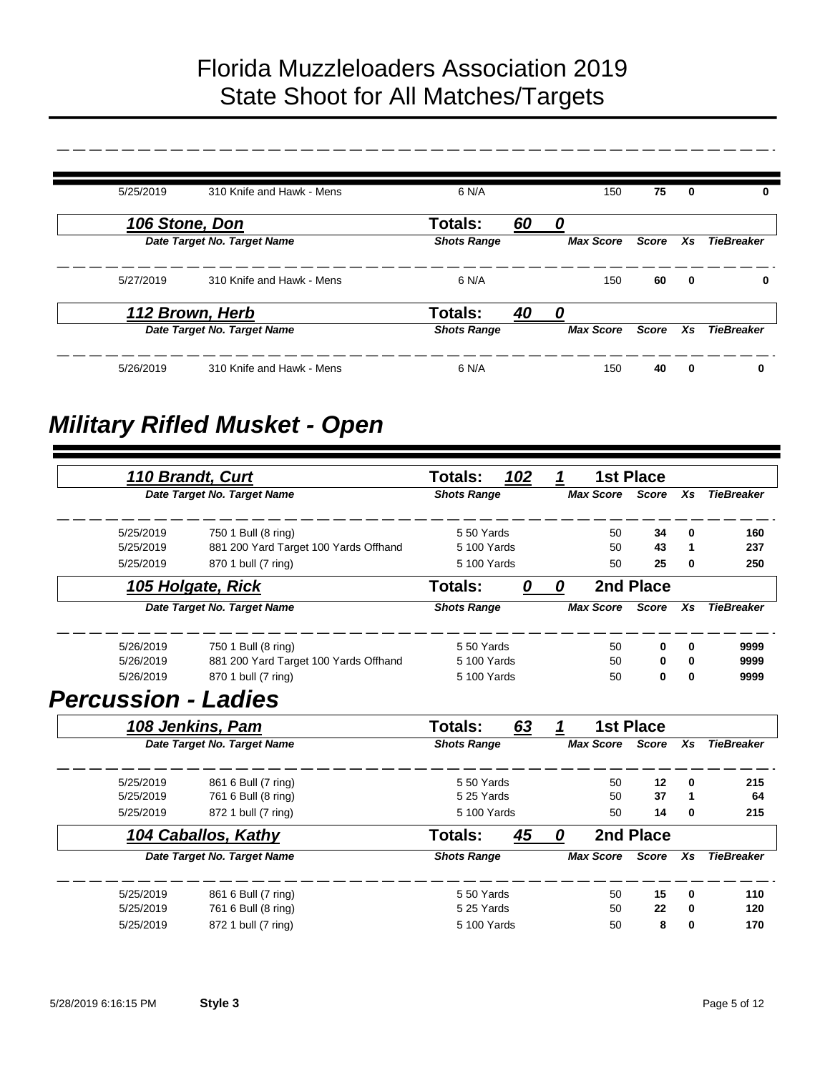| 5/25/2019 | 310 Knife and Hawk - Mens   | 6 N/A              | 150              | 75           | $\bf{0}$    | 0                 |
|-----------|-----------------------------|--------------------|------------------|--------------|-------------|-------------------|
|           | 106 Stone, Don              | Totals:<br>60      | n                |              |             |                   |
|           | Date Target No. Target Name | <b>Shots Range</b> | <b>Max Score</b> | <b>Score</b> | Xs          | <b>TieBreaker</b> |
| 5/27/2019 | 310 Knife and Hawk - Mens   | 6 N/A              | 150              | 60           | $\mathbf 0$ | 0                 |
|           | 112 Brown, Herb             | Totals:<br>40      |                  |              |             |                   |
|           | Date Target No. Target Name | <b>Shots Range</b> | <b>Max Score</b> | Score        | Xs          | <b>TieBreaker</b> |
| 5/26/2019 | 310 Knife and Hawk - Mens   | 6 N/A              | 150              | 40           | $\bf{0}$    | 0                 |

# *Military Rifled Musket - Open*

|                            | 110 Brandt, Curt                      | <b>Totals:</b>     | 102 | 1 |                  | <b>1st Place</b> |          |                   |
|----------------------------|---------------------------------------|--------------------|-----|---|------------------|------------------|----------|-------------------|
|                            | Date Target No. Target Name           | <b>Shots Range</b> |     |   | <b>Max Score</b> | <b>Score</b>     | Xs       | <b>TieBreaker</b> |
| 5/25/2019                  | 750 1 Bull (8 ring)                   | 550 Yards          |     |   | 50               | 34               | $\bf{0}$ | 160               |
| 5/25/2019                  | 881 200 Yard Target 100 Yards Offhand | 5 100 Yards        |     |   | 50               | 43               | 1        | 237               |
| 5/25/2019                  | 870 1 bull (7 ring)                   | 5 100 Yards        |     |   | 50               | 25               | 0        | 250               |
|                            | 105 Holgate, Rick                     | <b>Totals:</b>     | 0   | 0 |                  | 2nd Place        |          |                   |
|                            | Date Target No. Target Name           | <b>Shots Range</b> |     |   | <b>Max Score</b> | <b>Score</b>     | Xs       | <b>TieBreaker</b> |
| 5/26/2019                  | 750 1 Bull (8 ring)                   | 550 Yards          |     |   | 50               | 0                | 0        | 9999              |
| 5/26/2019                  | 881 200 Yard Target 100 Yards Offhand | 5 100 Yards        |     |   | 50               | 0                | 0        | 9999              |
| 5/26/2019                  | 870 1 bull (7 ring)                   | 5 100 Yards        |     |   | 50               | 0                | $\bf{0}$ | 9999              |
| <b>Percussion - Ladies</b> |                                       |                    |     |   |                  |                  |          |                   |
|                            | 108 Jenkins, Pam                      | <b>Totals:</b>     | 63  | 1 |                  | <b>1st Place</b> |          |                   |
|                            | Date Target No. Target Name           | <b>Shots Range</b> |     |   | <b>Max Score</b> | <b>Score</b>     | Xs       | <b>TieBreaker</b> |
| 5/25/2019                  | 861 6 Bull (7 ring)                   | 550 Yards          |     |   | 50               | 12               | 0        | 215               |
| 5/25/2019                  | 761 6 Bull (8 ring)                   | 5 25 Yards         |     |   | 50               | 37               | 1        | 64                |
| 5/25/2019                  | 872 1 bull (7 ring)                   | 5 100 Yards        |     |   | 50               | 14               | 0        | 215               |
|                            | 104 Caballos, Kathy                   | <b>Totals:</b>     | 45  | 0 |                  | 2nd Place        |          |                   |
|                            | Date Target No. Target Name           | <b>Shots Range</b> |     |   | <b>Max Score</b> | <b>Score</b>     | Xs       | <b>TieBreaker</b> |
| 5/25/2019                  | 861 6 Bull (7 ring)                   | 550 Yards          |     |   | 50               | 15               | 0        | 110               |
| 5/25/2019                  | 761 6 Bull (8 ring)                   | 5 25 Yards         |     |   | 50               | 22               | 0        | 120               |
| 5/25/2019                  | 872 1 bull (7 ring)                   | 5 100 Yards        |     |   | 50               | 8                | 0        | 170               |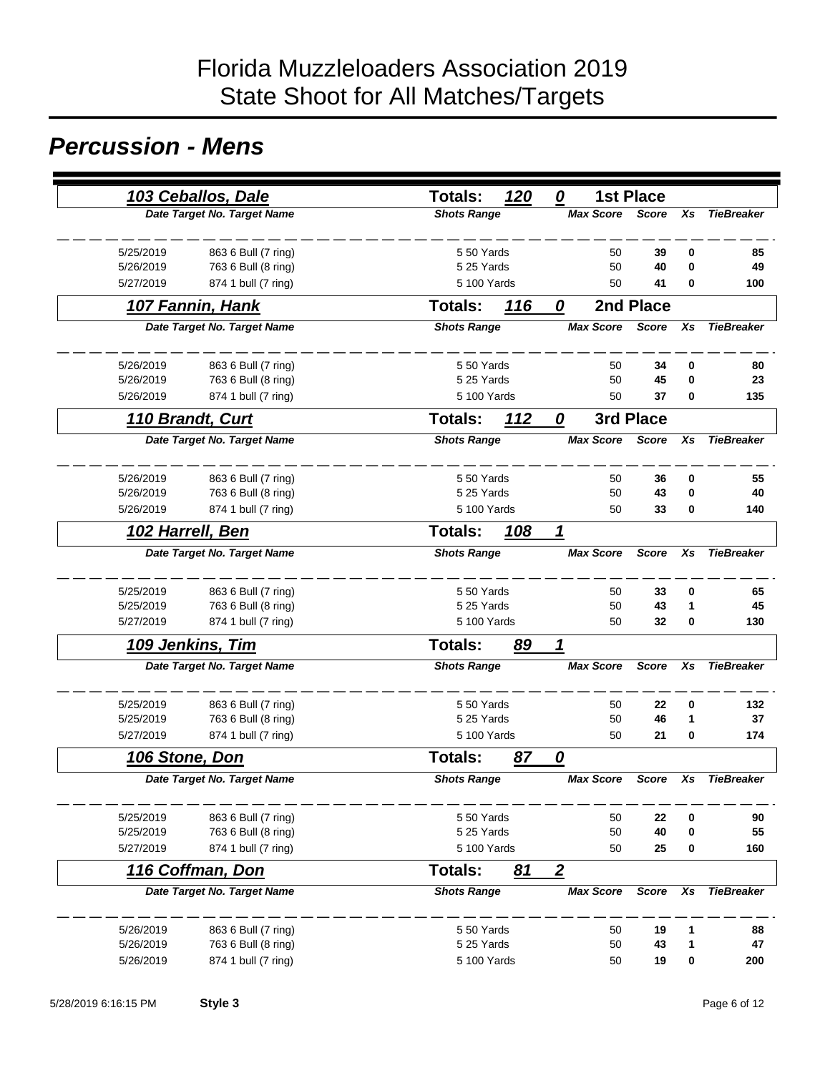### *Percussion - Mens*

|                | 103 Ceballos, Dale          | <b>Totals:</b>     | 120 | 0                | <b>1st Place</b> |           |                   |
|----------------|-----------------------------|--------------------|-----|------------------|------------------|-----------|-------------------|
|                | Date Target No. Target Name | <b>Shots Range</b> |     | <b>Max Score</b> | <b>Score</b>     | Xs        | <b>TieBreaker</b> |
| 5/25/2019      | 863 6 Bull (7 ring)         | 550 Yards          |     | 50               | 39               | 0         | 85                |
| 5/26/2019      | 763 6 Bull (8 ring)         | 5 25 Yards         |     | 50               | 40               | 0         | 49                |
| 5/27/2019      | 874 1 bull (7 ring)         | 5 100 Yards        |     | 50               | 41               | 0         | 100               |
|                | 107 Fannin, Hank            | <b>Totals:</b>     | 116 | 0                | 2nd Place        |           |                   |
|                | Date Target No. Target Name | <b>Shots Range</b> |     | <b>Max Score</b> | <b>Score</b>     | Xs        | <b>TieBreaker</b> |
| 5/26/2019      | 863 6 Bull (7 ring)         | 550 Yards          |     | 50               | 34               | 0         | 80                |
| 5/26/2019      | 763 6 Bull (8 ring)         | 5 25 Yards         |     | 50               | 45               | 0         | 23                |
| 5/26/2019      | 874 1 bull (7 ring)         | 5 100 Yards        |     | 50               | 37               | 0         | 135               |
|                | 110 Brandt, Curt            | Totals:            | 112 | 0                | 3rd Place        |           |                   |
|                | Date Target No. Target Name | <b>Shots Range</b> |     | <b>Max Score</b> | <b>Score</b>     | Xs        | <b>TieBreaker</b> |
| 5/26/2019      | 863 6 Bull (7 ring)         | 550 Yards          |     | 50               | 36               | 0         | 55                |
| 5/26/2019      | 763 6 Bull (8 ring)         | 5 25 Yards         |     | 50               | 43               | 0         | 40                |
| 5/26/2019      | 874 1 bull (7 ring)         | 5 100 Yards        |     | 50               | 33               | 0         | 140               |
|                | 102 Harrell, Ben            | <b>Totals:</b>     | 108 | 1                |                  |           |                   |
|                | Date Target No. Target Name | <b>Shots Range</b> |     | <b>Max Score</b> | <b>Score</b>     | Xs        | <b>TieBreaker</b> |
| 5/25/2019      | 863 6 Bull (7 ring)         | 550 Yards          |     | 50               | 33               | 0         | 65                |
| 5/25/2019      | 763 6 Bull (8 ring)         | 5 25 Yards         |     | 50               | 43               | 1         | 45                |
| 5/27/2019      | 874 1 bull (7 ring)         | 5 100 Yards        |     | 50               | 32               | 0         | 130               |
|                | 109 Jenkins, Tim            | <b>Totals:</b>     | 89  | 1                |                  |           |                   |
|                | Date Target No. Target Name | <b>Shots Range</b> |     | <b>Max Score</b> | <b>Score</b>     | Xs        | <b>TieBreaker</b> |
| 5/25/2019      | 863 6 Bull (7 ring)         | 550 Yards          |     | 50               | 22               | 0         | 132               |
| 5/25/2019      | 763 6 Bull (8 ring)         | 5 25 Yards         |     | 50               | 46               | 1         | 37                |
| 5/27/2019      | 874 1 bull (7 ring)         | 5 100 Yards        |     | 50               | 21               | 0         | 174               |
| 106 Stone, Don |                             | Totals:            | 87  | 0                |                  |           |                   |
|                | Date Target No. Target Name | <b>Shots Range</b> |     | <b>Max Score</b> | <b>Score</b>     | Xs        | <b>TieBreaker</b> |
| 5/25/2019      | 863 6 Bull (7 ring)         | 550 Yards          |     | 50               | 22               | $\pmb{0}$ | 90                |
| 5/25/2019      | 763 6 Bull (8 ring)         | 5 25 Yards         |     | 50               | 40               | 0         | 55                |
| 5/27/2019      | 874 1 bull (7 ring)         | 5 100 Yards        |     | 50               | 25               | 0         | 160               |
|                | 116 Coffman, Don            | Totals:            | 81  | $\boldsymbol{2}$ |                  |           |                   |
|                | Date Target No. Target Name | <b>Shots Range</b> |     | <b>Max Score</b> | Score            | Xs        | <b>TieBreaker</b> |
| 5/26/2019      | 863 6 Bull (7 ring)         | 550 Yards          |     | 50               | 19               | 1         | 88                |
| 5/26/2019      | 763 6 Bull (8 ring)         | 5 25 Yards         |     | 50               | 43               | 1         | 47                |
| 5/26/2019      | 874 1 bull (7 ring)         | 5 100 Yards        |     | 50               | 19               | 0         | 200               |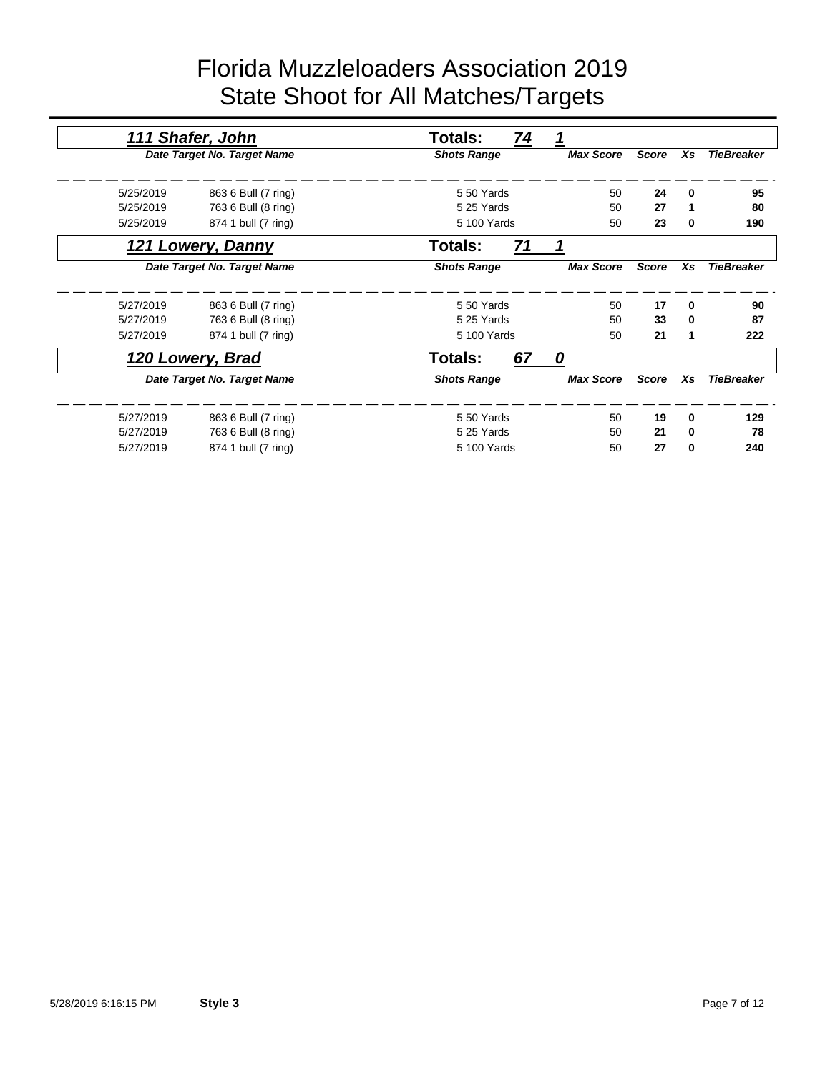|           | 111 Shafer, John            | 74<br>Totals:      | 1                |              |          |                   |
|-----------|-----------------------------|--------------------|------------------|--------------|----------|-------------------|
|           | Date Target No. Target Name | <b>Shots Range</b> | <b>Max Score</b> | <b>Score</b> | Xs       | <b>TieBreaker</b> |
|           |                             |                    |                  |              |          |                   |
| 5/25/2019 | 863 6 Bull (7 ring)         | 5 50 Yards         | 50               | 24           | $\bf{0}$ | 95                |
| 5/25/2019 | 763 6 Bull (8 ring)         | 5 25 Yards         | 50               | 27           | 1        | 80                |
| 5/25/2019 | 874 1 bull (7 ring)         | 5 100 Yards        | 50               | 23           | 0        | 190               |
|           | 121 Lowery, Danny           | 71<br>Totals:      |                  |              |          |                   |
|           | Date Target No. Target Name | <b>Shots Range</b> | <b>Max Score</b> | <b>Score</b> | Xs       | <b>TieBreaker</b> |
|           |                             |                    |                  |              |          |                   |
| 5/27/2019 | 863 6 Bull (7 ring)         | 550 Yards          | 50               | 17           | 0        | 90                |
| 5/27/2019 | 763 6 Bull (8 ring)         | 5 25 Yards         | 50               | 33           | $\bf{0}$ | 87                |
| 5/27/2019 | 874 1 bull (7 ring)         | 5 100 Yards        | 50               | 21           | 1        | 222               |
|           | 120 Lowery, Brad            | Totals:<br>67      | 0                |              |          |                   |
|           | Date Target No. Target Name | <b>Shots Range</b> | <b>Max Score</b> | <b>Score</b> | Xs       | <b>TieBreaker</b> |
|           |                             |                    |                  |              |          |                   |
| 5/27/2019 | 863 6 Bull (7 ring)         | 550 Yards          | 50               | 19           | 0        | 129               |
| 5/27/2019 | 763 6 Bull (8 ring)         | 5 25 Yards         | 50               | 21           | 0        | 78                |
| 5/27/2019 | 874 1 bull (7 ring)         | 5 100 Yards        | 50               | 27           | 0        | 240               |
|           |                             |                    |                  |              |          |                   |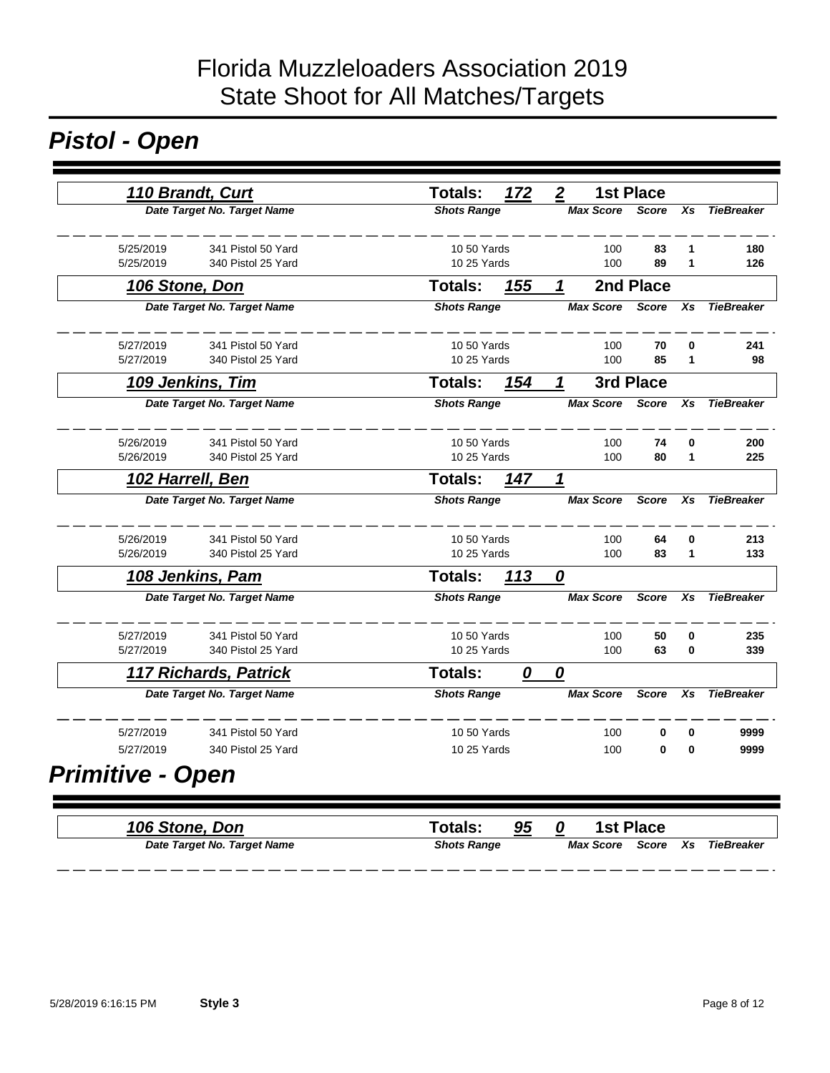# *Pistol - Open*

|                         | 110 Brandt, Curt             | Totals:            | 172 | $\boldsymbol{2}$       | <b>1st Place</b> |          |                   |
|-------------------------|------------------------------|--------------------|-----|------------------------|------------------|----------|-------------------|
|                         | Date Target No. Target Name  | <b>Shots Range</b> |     | <b>Max Score</b> Score |                  | Xs       | <b>TieBreaker</b> |
| 5/25/2019               | 341 Pistol 50 Yard           | 10 50 Yards        |     | 100                    | 83               |          | 180               |
| 5/25/2019               | 340 Pistol 25 Yard           | 10 25 Yards        |     | 100                    | 89               | 1        | 126               |
| 106 Stone, Don          |                              | <b>Totals:</b>     | 155 | 1                      | 2nd Place        |          |                   |
|                         | Date Target No. Target Name  | <b>Shots Range</b> |     | <b>Max Score</b>       | <b>Score</b>     | Xs       | <b>TieBreaker</b> |
| 5/27/2019               | 341 Pistol 50 Yard           | 10 50 Yards        |     | 100                    | 70               | 0        | 241               |
| 5/27/2019               | 340 Pistol 25 Yard           | 10 25 Yards        |     | 100                    | 85               | 1        | 98                |
|                         | 109 Jenkins, Tim             | Totals:            | 154 | $\mathbf 1$            | 3rd Place        |          |                   |
|                         | Date Target No. Target Name  | <b>Shots Range</b> |     | <b>Max Score</b>       | <b>Score</b>     | Xs       | <b>TieBreaker</b> |
| 5/26/2019               | 341 Pistol 50 Yard           | 10 50 Yards        |     | 100                    | 74               | 0        | 200               |
| 5/26/2019               | 340 Pistol 25 Yard           | 10 25 Yards        |     | 100                    | 80               | 1        | 225               |
|                         | 102 Harrell, Ben             | <b>Totals:</b>     | 147 | 1                      |                  |          |                   |
|                         | Date Target No. Target Name  | <b>Shots Range</b> |     | <b>Max Score</b>       | <b>Score</b>     | Xs       | <b>TieBreaker</b> |
| 5/26/2019               | 341 Pistol 50 Yard           | 10 50 Yards        |     | 100                    | 64               | 0        | 213               |
| 5/26/2019               | 340 Pistol 25 Yard           | 10 25 Yards        |     | 100                    | 83               | 1        | 133               |
|                         | 108 Jenkins, Pam             | <b>Totals:</b>     | 113 | 0                      |                  |          |                   |
|                         | Date Target No. Target Name  | <b>Shots Range</b> |     | <b>Max Score</b>       | Score            | Xs       | <b>TieBreaker</b> |
| 5/27/2019               | 341 Pistol 50 Yard           | 10 50 Yards        |     | 100                    | 50               | 0        | 235               |
| 5/27/2019               | 340 Pistol 25 Yard           | 10 25 Yards        |     | 100                    | 63               | $\bf{0}$ | 339               |
|                         | <b>117 Richards, Patrick</b> | <b>Totals:</b>     | 0   | 0                      |                  |          |                   |
|                         | Date Target No. Target Name  | <b>Shots Range</b> |     | <b>Max Score</b>       | <b>Score</b>     | Xs       | <b>TieBreaker</b> |
| 5/27/2019               | 341 Pistol 50 Yard           | 10 50 Yards        |     | 100                    | 0                | $\bf{0}$ | 9999              |
| 5/27/2019               | 340 Pistol 25 Yard           | 10 25 Yards        |     | 100                    | 0                | $\bf{0}$ | 9999              |
| <b>Primitive - Open</b> |                              |                    |     |                        |                  |          |                   |
|                         |                              |                    |     |                        |                  |          |                   |

| 106 Stone, Don              | Totals:            | 95 |           | <b>1st Place</b> |                   |
|-----------------------------|--------------------|----|-----------|------------------|-------------------|
| Date Target No. Target Name | <b>Shots Range</b> |    | Max Score | Score Xs i       | <b>TieBreaker</b> |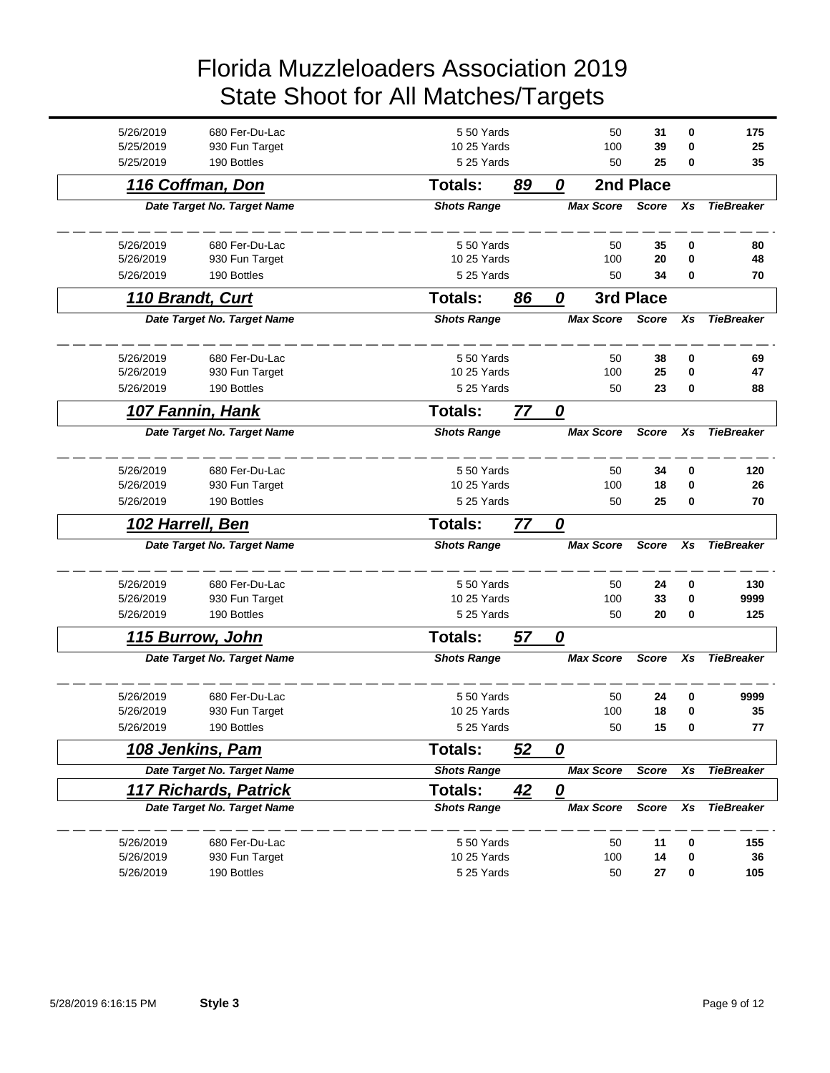| 5/26/2019 | 680 Fer-Du-Lac                   | 550 Yards                |                | 50               | 31           | 0           | 175               |
|-----------|----------------------------------|--------------------------|----------------|------------------|--------------|-------------|-------------------|
| 5/25/2019 | 930 Fun Target                   | 10 25 Yards              |                | 100              | 39           | 0           | 25                |
| 5/25/2019 | 190 Bottles                      | 5 25 Yards               |                | 50               | 25           | 0           | 35                |
|           | 116 Coffman, Don                 | <b>Totals:</b>           | 89             |                  | 2nd Place    |             |                   |
|           | Date Target No. Target Name      | <b>Shots Range</b>       |                | <b>Max Score</b> | <b>Score</b> | Xs          | <b>TieBreaker</b> |
|           |                                  |                          |                |                  |              |             |                   |
| 5/26/2019 | 680 Fer-Du-Lac                   | 550 Yards                |                | 50               | 35           | $\mathbf 0$ | 80                |
| 5/26/2019 | 930 Fun Target                   | 10 25 Yards              |                | 100              | 20           | $\mathbf 0$ | 48                |
| 5/26/2019 | 190 Bottles                      | 5 25 Yards               |                | 50               | 34           | 0           | 70                |
|           | 110 Brandt, Curt                 | <b>Totals:</b>           | 86             | 0                | 3rd Place    |             |                   |
|           | Date Target No. Target Name      | <b>Shots Range</b>       |                | <b>Max Score</b> | <b>Score</b> | Xs          | <b>TieBreaker</b> |
|           |                                  |                          |                |                  |              |             |                   |
| 5/26/2019 | 680 Fer-Du-Lac                   | 550 Yards                |                | 50               | 38           | 0           | 69                |
| 5/26/2019 | 930 Fun Target                   |                          | 10 25 Yards    |                  | 25           | 0           | 47                |
| 5/26/2019 | 190 Bottles                      |                          | 5 25 Yards     |                  | 23           | 0           | 88                |
|           | 107 Fannin, Hank                 | <b>Totals:</b>           | $\prime\prime$ | 0                |              |             |                   |
|           | Date Target No. Target Name      | <b>Shots Range</b>       |                | <b>Max Score</b> | <b>Score</b> | Xs          | <b>TieBreaker</b> |
|           |                                  |                          |                |                  |              |             |                   |
| 5/26/2019 | 680 Fer-Du-Lac                   | 5 50 Yards               |                | 50               | 34           | 0           | 120               |
| 5/26/2019 | 930 Fun Target                   |                          | 10 25 Yards    |                  | 18           | 0           | 26                |
| 5/26/2019 | 190 Bottles                      |                          | 5 25 Yards     |                  | 25           | 0           | 70                |
|           | 102 Harrell, Ben                 | <b>Totals:</b>           | 77             | 0                |              |             |                   |
|           | Date Target No. Target Name      | <b>Shots Range</b>       |                | <b>Max Score</b> | <b>Score</b> | Xs          | <b>TieBreaker</b> |
| 5/26/2019 | 680 Fer-Du-Lac                   | 550 Yards                |                | 50               | 24           | 0           | 130               |
| 5/26/2019 | 930 Fun Target                   | 10 25 Yards              |                | 100              | 33           | 0           | 9999              |
| 5/26/2019 | 190 Bottles                      | 5 25 Yards               |                | 50               | 20           | 0           | 125               |
|           | 115 Burrow, John                 | <b>Totals:</b>           | 57             | 0                |              |             |                   |
|           | Date Target No. Target Name      | <b>Shots Range</b>       |                | <b>Max Score</b> | <b>Score</b> | Xs          | <b>TieBreaker</b> |
|           |                                  |                          |                |                  |              |             |                   |
| 5/26/2019 | 680 Fer-Du-Lac                   | 550 Yards                |                | 50               | 24           | 0           | 9999              |
| 5/26/2019 | 930 Fun Target                   |                          | 10 25 Yards    |                  | 18           | 0           | 35                |
| 5/26/2019 | 190 Bottles                      | 5 25 Yards               |                | 50               | 15           | 0           | 77                |
|           | 108 Jenkins, Pam                 | Totals:                  | 52             | 0                |              |             |                   |
|           | Date Target No. Target Name      | <b>Shots Range</b>       |                | <b>Max Score</b> | Score        | Xs          | <b>TieBreaker</b> |
|           | <b>117 Richards, Patrick</b>     | Totals:                  | <u>42</u>      | <u>0</u>         |              |             |                   |
|           | Date Target No. Target Name      | <b>Shots Range</b>       |                | <b>Max Score</b> | Score        | Xs          | <b>TieBreaker</b> |
| 5/26/2019 |                                  |                          |                |                  |              |             |                   |
|           |                                  |                          |                |                  |              |             |                   |
| 5/26/2019 | 680 Fer-Du-Lac<br>930 Fun Target | 550 Yards<br>10 25 Yards |                | 50<br>100        | 11<br>14     | 0<br>0      | 155<br>36         |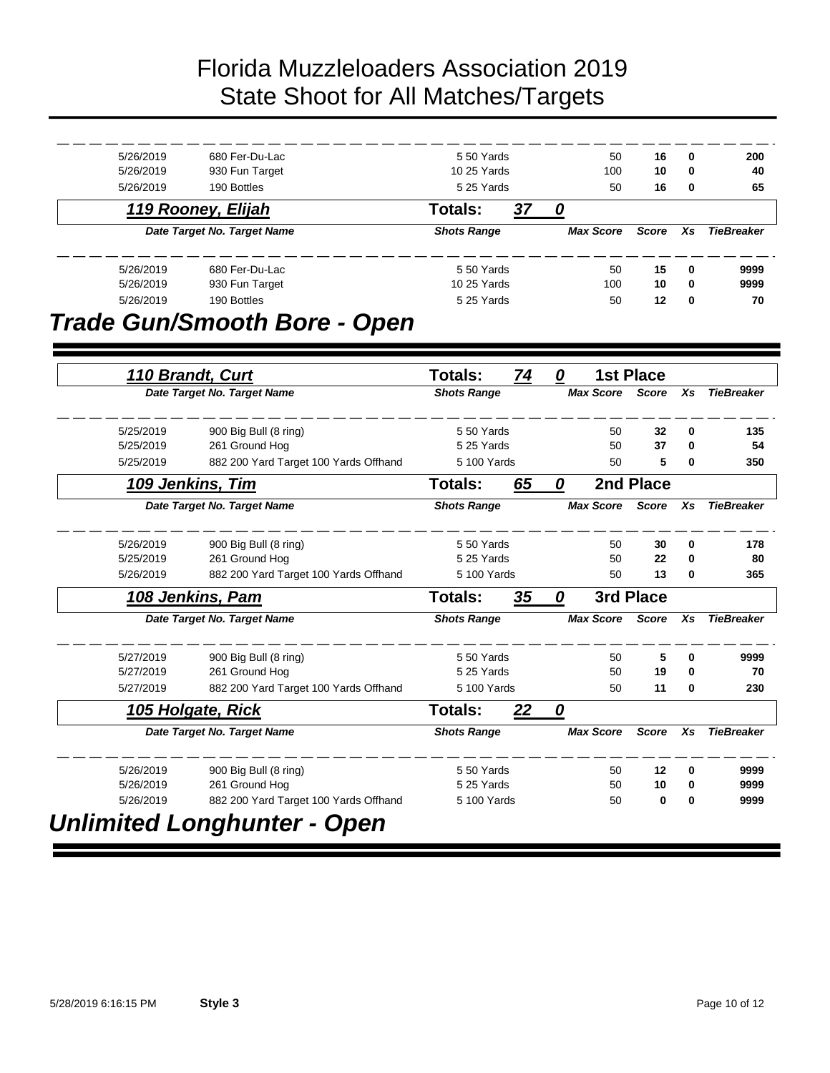| 5/26/2019              | 680 Fer-Du-Lac                                          | 550 Yards                 |    |   | 50               | 16               | 0      | 200               |
|------------------------|---------------------------------------------------------|---------------------------|----|---|------------------|------------------|--------|-------------------|
| 5/26/2019              | 930 Fun Target                                          | 10 25 Yards               |    |   | 100              | 10               | 0      | 40                |
| 5/26/2019              | 190 Bottles                                             | 5 25 Yards                |    |   | 50               | 16               | 0      | 65                |
|                        | 119 Rooney, Elijah                                      | <b>Totals:</b>            | 37 | 0 |                  |                  |        |                   |
|                        | Date Target No. Target Name                             | <b>Shots Range</b>        |    |   | <b>Max Score</b> | <b>Score</b>     | Xs     | <b>TieBreaker</b> |
| 5/26/2019              | 680 Fer-Du-Lac                                          | 550 Yards                 |    |   | 50               | 15               | 0      | 9999              |
| 5/26/2019<br>5/26/2019 | 930 Fun Target<br>190 Bottles                           | 10 25 Yards<br>5 25 Yards |    |   | 100<br>50        | 10<br>12         | 0<br>0 | 9999<br>70        |
|                        | <b>Trade Gun/Smooth Bore - Open</b>                     |                           |    |   |                  |                  |        |                   |
|                        | 110 Brandt, Curt                                        | <b>Totals:</b>            | 74 | 0 |                  | <b>1st Place</b> |        |                   |
|                        | Date Target No. Target Name                             | <b>Shots Range</b>        |    |   | <b>Max Score</b> | <b>Score</b>     | Xs     | <b>TieBreaker</b> |
| 5/25/2019              | 900 Big Bull (8 ring)                                   | 5 50 Yards                |    |   | 50               | 32               | 0      | 135               |
| 5/25/2019              | 261 Ground Hog                                          | 5 25 Yards                |    |   | 50               | 37               | 0      | 54                |
| 5/25/2019              | 882 200 Yard Target 100 Yards Offhand                   | 5 100 Yards               |    |   | 50               | 5                | 0      | 350               |
|                        | 109 Jenkins, Tim                                        | <b>Totals:</b>            | 65 | 0 | 2nd Place        |                  |        |                   |
|                        | Date Target No. Target Name                             | <b>Shots Range</b>        |    |   | <b>Max Score</b> | <b>Score</b>     | Xs     | <b>TieBreaker</b> |
| 5/26/2019              | 900 Big Bull (8 ring)                                   | 550 Yards                 |    |   | 50               | 30               | 0      | 178               |
| 5/25/2019<br>5/26/2019 | 261 Ground Hog                                          | 5 25 Yards<br>5 100 Yards |    |   | 50<br>50         | 22<br>13         | 0<br>0 | 80                |
|                        | 882 200 Yard Target 100 Yards Offhand                   |                           |    |   |                  |                  |        | 365               |
|                        | 108 Jenkins, Pam                                        | <b>Totals:</b>            | 35 | 0 |                  | 3rd Place        |        |                   |
|                        | Date Target No. Target Name                             | <b>Shots Range</b>        |    |   | <b>Max Score</b> | <b>Score</b>     | Xs     | <b>TieBreaker</b> |
| 5/27/2019              | 900 Big Bull (8 ring)                                   | 550 Yards                 |    |   | 50               | 5                | 0      | 9999              |
| 5/27/2019              | 261 Ground Hog                                          | 5 25 Yards                |    |   | 50<br>50         | 19               | 0<br>0 | 70                |
| 5/27/2019              | 882 200 Yard Target 100 Yards Offhand                   | 5 100 Yards               |    |   |                  | 11               |        | 230               |
|                        |                                                         | <b>Totals:</b>            | 22 | 0 |                  |                  |        |                   |
| 105 Holgate, Rick      |                                                         |                           |    |   | <b>Max Score</b> | <b>Score</b>     | Xs     | <b>TieBreaker</b> |
|                        | Date Target No. Target Name                             | <b>Shots Range</b>        |    |   |                  |                  |        |                   |
| 5/26/2019              | 900 Big Bull (8 ring)                                   | 550 Yards                 |    |   | 50               | 12               | 0      | 9999              |
| 5/26/2019<br>5/26/2019 | 261 Ground Hog<br>882 200 Yard Target 100 Yards Offhand | 5 25 Yards<br>5 100 Yards |    |   | 50<br>50         | 10<br>0          | 0<br>0 | 9999<br>9999      |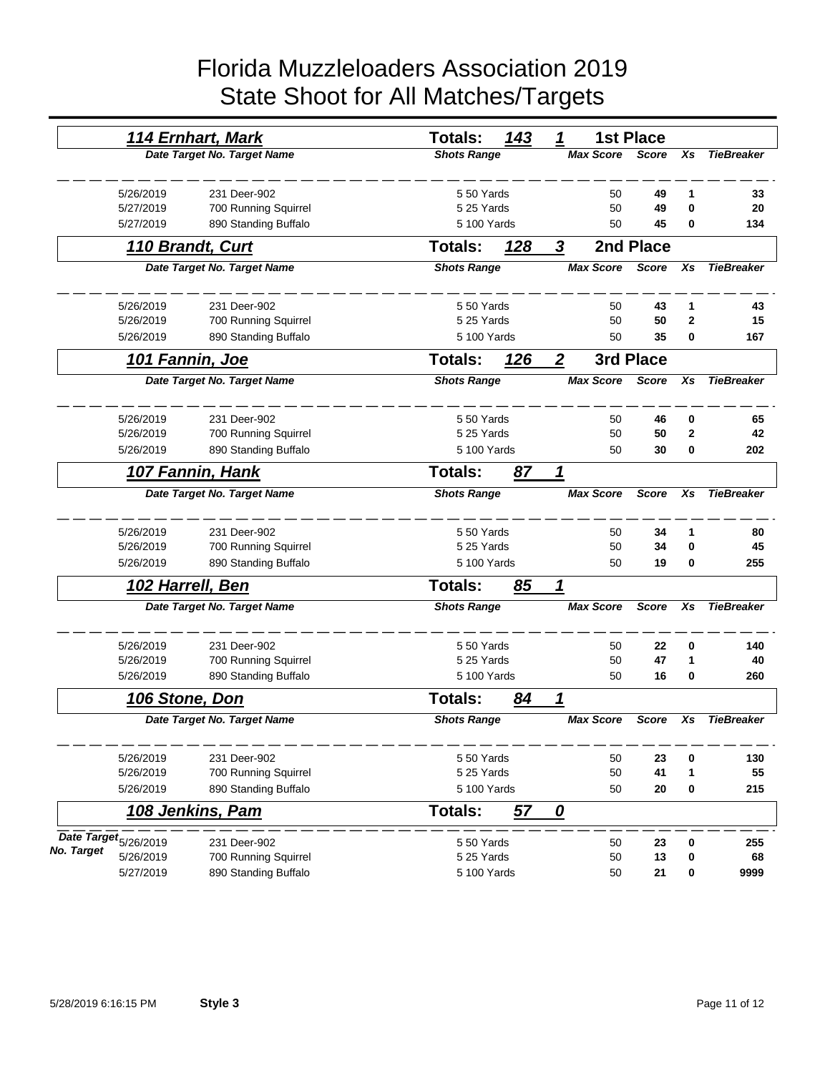|            |                                  | 114 Ernhart, Mark           | <b>Totals:</b>     | 143        | 1                                    | <b>1st Place</b> |              |                   |
|------------|----------------------------------|-----------------------------|--------------------|------------|--------------------------------------|------------------|--------------|-------------------|
|            |                                  | Date Target No. Target Name | <b>Shots Range</b> |            | <b>Max Score</b>                     | <b>Score</b>     | Xs           | <b>TieBreaker</b> |
|            | 5/26/2019                        | 231 Deer-902                | 550 Yards          |            | 50                                   | 49               | 1            | 33                |
|            | 5/27/2019                        | 700 Running Squirrel        | 5 25 Yards         |            | 50                                   | 49               | 0            | 20                |
|            | 5/27/2019                        | 890 Standing Buffalo        | 5 100 Yards        |            | 50                                   | 45               | 0            | 134               |
|            |                                  | 110 Brandt, Curt            | Totals:            | 128        | 3                                    | 2nd Place        |              |                   |
|            |                                  | Date Target No. Target Name | <b>Shots Range</b> |            | <b>Max Score</b>                     | <b>Score</b>     | Xs           | <b>TieBreaker</b> |
|            | 5/26/2019                        | 231 Deer-902                | 550 Yards          |            | 50                                   | 43               | 1            | 43                |
|            | 5/26/2019                        | 700 Running Squirrel        | 5 25 Yards         |            | 50                                   | 50               | $\mathbf{2}$ | 15                |
|            | 5/26/2019                        | 890 Standing Buffalo        | 5 100 Yards        |            | 50                                   | 35               | 0            | 167               |
|            |                                  | 101 Fannin, Joe             | <b>Totals:</b>     | 126        | $\boldsymbol{2}$                     | 3rd Place        |              |                   |
|            |                                  | Date Target No. Target Name | <b>Shots Range</b> |            | <b>Max Score</b>                     | <b>Score</b>     | Xs           | <b>TieBreaker</b> |
|            | 5/26/2019                        | 231 Deer-902                | 550 Yards          |            | 50                                   | 46               | 0            | 65                |
|            | 5/26/2019                        | 700 Running Squirrel        |                    | 5 25 Yards |                                      | 50<br>50         | $\mathbf 2$  | 42                |
|            | 5/26/2019                        | 890 Standing Buffalo        | 5 100 Yards        |            | 50                                   | 30               | 0            | 202               |
|            |                                  | 107 Fannin, Hank            | <b>Totals:</b>     | 87         | 1                                    |                  |              |                   |
|            |                                  | Date Target No. Target Name | <b>Shots Range</b> |            | <b>Max Score</b>                     | <b>Score</b>     | Xs           | <b>TieBreaker</b> |
|            | 5/26/2019                        | 231 Deer-902                | 550 Yards          |            | 50                                   | 34               | 1            | 80                |
|            | 5/26/2019                        | 700 Running Squirrel        | 5 25 Yards         |            | 50                                   | 34               | 0            | 45                |
|            | 5/26/2019                        | 890 Standing Buffalo        | 5 100 Yards        |            | 50                                   | 19               | 0            | 255               |
|            |                                  | 102 Harrell, Ben            | <b>Totals:</b>     | 85         | 1                                    |                  |              |                   |
|            |                                  | Date Target No. Target Name | <b>Shots Range</b> |            | <b>Max Score</b>                     | <b>Score</b>     | Xs           | <b>TieBreaker</b> |
|            | 5/26/2019                        | 231 Deer-902                | 550 Yards          |            | 50                                   | 22               | 0            | 140               |
|            | 5/26/2019                        | 700 Running Squirrel        | 5 25 Yards         |            | 50                                   | 47               | 1            | 40                |
|            | 5/26/2019                        | 890 Standing Buffalo        | 5 100 Yards        |            | 50                                   | 16               | 0            | 260               |
|            | 106 Stone, Don                   |                             | Totals:            | 84         |                                      |                  |              |                   |
|            |                                  | Date Target No. Target Name | <b>Shots Range</b> |            | <b>Max Score</b>                     | <b>Score</b>     | Xs           | <b>TieBreaker</b> |
|            | 5/26/2019                        | 231 Deer-902                | 550 Yards          |            | 50                                   | 23               | 0            | 130               |
|            | 5/26/2019                        | 700 Running Squirrel        | 5 25 Yards         |            | 50                                   | 41               | 1            | 55                |
|            | 5/26/2019                        | 890 Standing Buffalo        | 5 100 Yards        |            | 50                                   | 20               | 0            | 215               |
|            |                                  | 108 Jenkins, Pam            | Totals:            | 57         | $\overline{\boldsymbol{\mathit{0}}}$ |                  |              |                   |
|            | Date Target <sub>5/26/2019</sub> | 231 Deer-902                | 5 50 Yards         |            | 50                                   | 23               | 0            | 255               |
| No. Target | 5/26/2019                        | 700 Running Squirrel        | 5 25 Yards         |            | 50                                   | 13               | 0            | 68                |
|            | 5/27/2019                        | 890 Standing Buffalo        | 5 100 Yards        |            | 50                                   | 21               | 0            | 9999              |